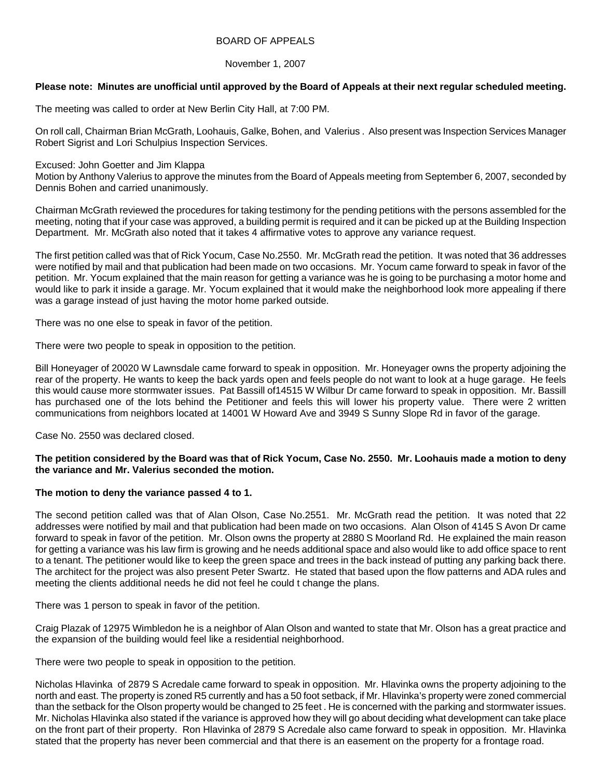### BOARD OF APPEALS

## November 1, 2007

# **Please note: Minutes are unofficial until approved by the Board of Appeals at their next regular scheduled meeting.**

The meeting was called to order at New Berlin City Hall, at 7:00 PM.

On roll call, Chairman Brian McGrath, Loohauis, Galke, Bohen, and Valerius . Also present was Inspection Services Manager Robert Sigrist and Lori Schulpius Inspection Services.

Excused: John Goetter and Jim Klappa

Motion by Anthony Valerius to approve the minutes from the Board of Appeals meeting from September 6, 2007, seconded by Dennis Bohen and carried unanimously.

Chairman McGrath reviewed the procedures for taking testimony for the pending petitions with the persons assembled for the meeting, noting that if your case was approved, a building permit is required and it can be picked up at the Building Inspection Department. Mr. McGrath also noted that it takes 4 affirmative votes to approve any variance request.

The first petition called was that of Rick Yocum, Case No.2550. Mr. McGrath read the petition. It was noted that 36 addresses were notified by mail and that publication had been made on two occasions. Mr. Yocum came forward to speak in favor of the petition. Mr. Yocum explained that the main reason for getting a variance was he is going to be purchasing a motor home and would like to park it inside a garage. Mr. Yocum explained that it would make the neighborhood look more appealing if there was a garage instead of just having the motor home parked outside.

There was no one else to speak in favor of the petition.

There were two people to speak in opposition to the petition.

Bill Honeyager of 20020 W Lawnsdale came forward to speak in opposition. Mr. Honeyager owns the property adjoining the rear of the property. He wants to keep the back yards open and feels people do not want to look at a huge garage. He feels this would cause more stormwater issues. Pat Bassill of14515 W Wilbur Dr came forward to speak in opposition. Mr. Bassill has purchased one of the lots behind the Petitioner and feels this will lower his property value. There were 2 written communications from neighbors located at 14001 W Howard Ave and 3949 S Sunny Slope Rd in favor of the garage.

Case No. 2550 was declared closed.

## **The petition considered by the Board was that of Rick Yocum, Case No. 2550. Mr. Loohauis made a motion to deny the variance and Mr. Valerius seconded the motion.**

# **The motion to deny the variance passed 4 to 1.**

The second petition called was that of Alan Olson, Case No.2551. Mr. McGrath read the petition. It was noted that 22 addresses were notified by mail and that publication had been made on two occasions. Alan Olson of 4145 S Avon Dr came forward to speak in favor of the petition. Mr. Olson owns the property at 2880 S Moorland Rd. He explained the main reason for getting a variance was his law firm is growing and he needs additional space and also would like to add office space to rent to a tenant. The petitioner would like to keep the green space and trees in the back instead of putting any parking back there. The architect for the project was also present Peter Swartz. He stated that based upon the flow patterns and ADA rules and meeting the clients additional needs he did not feel he could t change the plans.

There was 1 person to speak in favor of the petition.

Craig Plazak of 12975 Wimbledon he is a neighbor of Alan Olson and wanted to state that Mr. Olson has a great practice and the expansion of the building would feel like a residential neighborhood.

There were two people to speak in opposition to the petition.

Nicholas Hlavinka of 2879 S Acredale came forward to speak in opposition. Mr. Hlavinka owns the property adjoining to the north and east. The property is zoned R5 currently and has a 50 foot setback, if Mr. Hlavinka's property were zoned commercial than the setback for the Olson property would be changed to 25 feet . He is concerned with the parking and stormwater issues. Mr. Nicholas Hlavinka also stated if the variance is approved how they will go about deciding what development can take place on the front part of their property. Ron Hlavinka of 2879 S Acredale also came forward to speak in opposition. Mr. Hlavinka stated that the property has never been commercial and that there is an easement on the property for a frontage road.